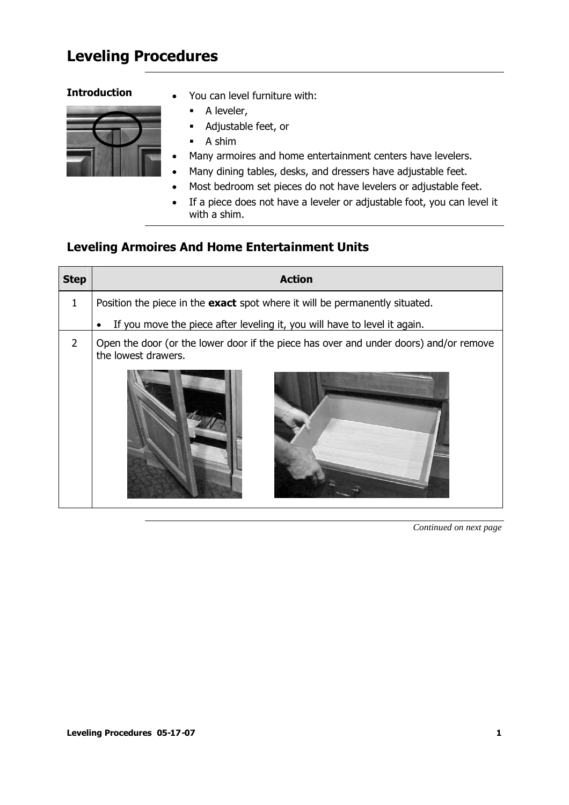## **Leveling Procedures**



- **Introduction** You can level furniture with:
	- A leveler,
	- Adjustable feet, or
	- A shim
	- Many armoires and home entertainment centers have levelers.
	- Many dining tables, desks, and dressers have adjustable feet.
	- Most bedroom set pieces do not have levelers or adjustable feet.
	- If a piece does not have a leveler or adjustable foot, you can level it with a shim.

## **Leveling Armoires And Home Entertainment Units**

| <b>Step</b> | <b>Action</b>                                                                                                |
|-------------|--------------------------------------------------------------------------------------------------------------|
| 1           | Position the piece in the <b>exact</b> spot where it will be permanently situated.                           |
|             | If you move the piece after leveling it, you will have to level it again.                                    |
| 2           | Open the door (or the lower door if the piece has over and under doors) and/or remove<br>the lowest drawers. |
|             |                                                                                                              |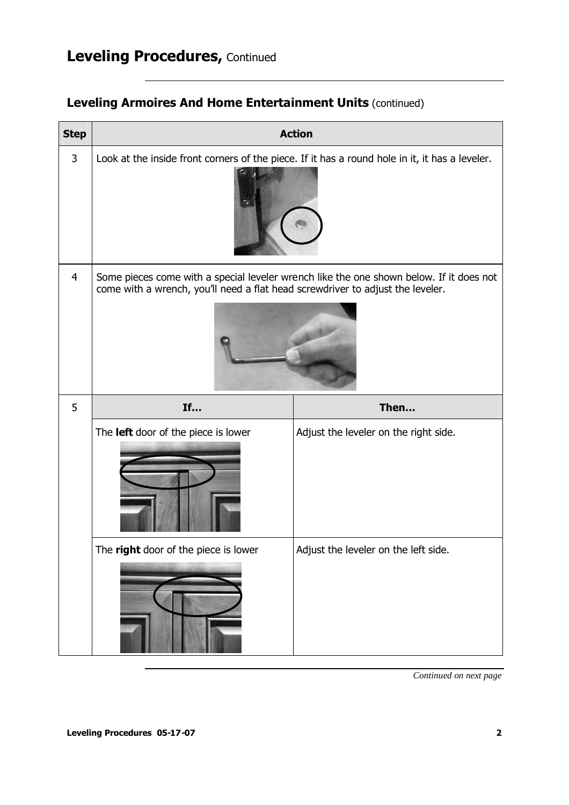## **Leveling Armoires And Home Entertainment Units** (continued)

| <b>Step</b> |                                                                                | <b>Action</b>                                                                                  |
|-------------|--------------------------------------------------------------------------------|------------------------------------------------------------------------------------------------|
| 3           |                                                                                | Look at the inside front corners of the piece. If it has a round hole in it, it has a leveler. |
| 4           | come with a wrench, you'll need a flat head screwdriver to adjust the leveler. | Some pieces come with a special leveler wrench like the one shown below. If it does not        |
|             |                                                                                |                                                                                                |
| 5           | If                                                                             | Then                                                                                           |
|             | The left door of the piece is lower                                            | Adjust the leveler on the right side.                                                          |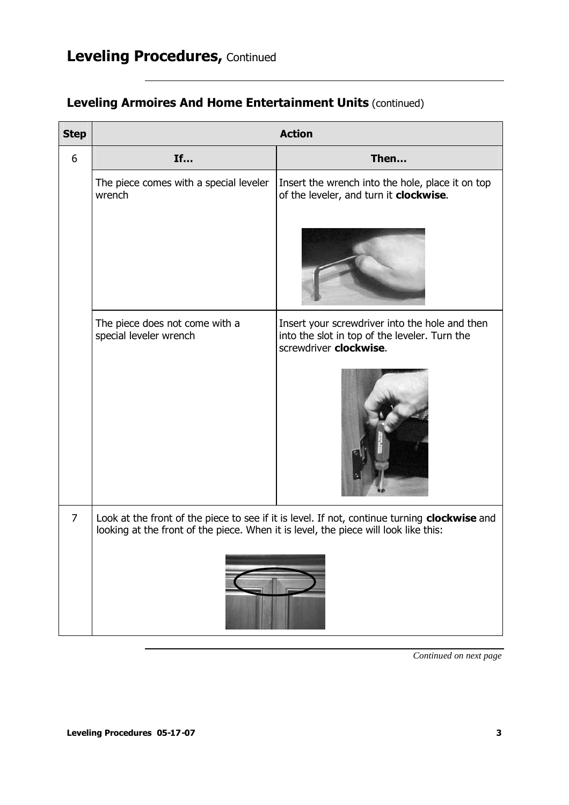| Leveling Armoires And Home Entertainment Units (continued) |  |
|------------------------------------------------------------|--|
|------------------------------------------------------------|--|

| <b>Step</b> |                                                                                     | <b>Action</b>                                                                                                             |
|-------------|-------------------------------------------------------------------------------------|---------------------------------------------------------------------------------------------------------------------------|
| 6           | If                                                                                  | Then                                                                                                                      |
|             | The piece comes with a special leveler<br>wrench                                    | Insert the wrench into the hole, place it on top<br>of the leveler, and turn it clockwise.                                |
|             |                                                                                     |                                                                                                                           |
|             | The piece does not come with a<br>special leveler wrench                            | Insert your screwdriver into the hole and then<br>into the slot in top of the leveler. Turn the<br>screwdriver clockwise. |
|             |                                                                                     |                                                                                                                           |
| 7           | looking at the front of the piece. When it is level, the piece will look like this: | Look at the front of the piece to see if it is level. If not, continue turning <b>clockwise</b> and                       |
|             |                                                                                     |                                                                                                                           |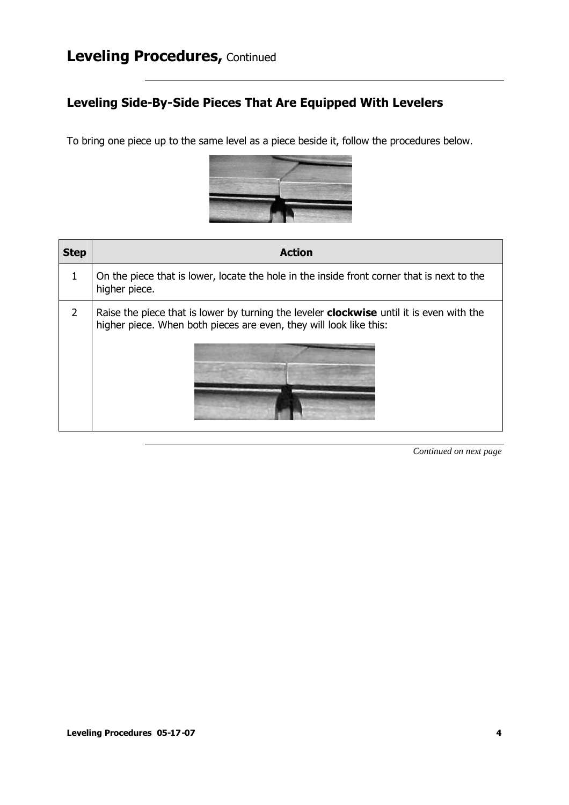## **Leveling Side-By-Side Pieces That Are Equipped With Levelers**

To bring one piece up to the same level as a piece beside it, follow the procedures below.



| <b>Step</b>    | <b>Action</b>                                                                                                                                                         |
|----------------|-----------------------------------------------------------------------------------------------------------------------------------------------------------------------|
|                | On the piece that is lower, locate the hole in the inside front corner that is next to the<br>higher piece.                                                           |
| $\overline{2}$ | Raise the piece that is lower by turning the leveler <b>clockwise</b> until it is even with the<br>higher piece. When both pieces are even, they will look like this: |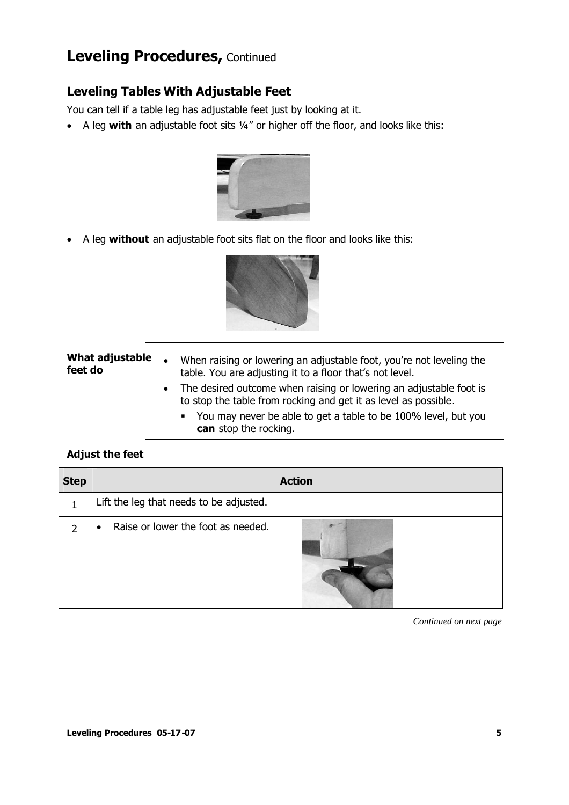## **Leveling Tables With Adjustable Feet**

You can tell if a table leg has adjustable feet just by looking at it.

A leg **with** an adjustable foot sits ¼" or higher off the floor, and looks like this:



A leg **without** an adjustable foot sits flat on the floor and looks like this:



#### **What adjustable feet do**

• When raising or lowering an adjustable foot, you're not leveling the table. You are adjusting it to a floor that's not level.

- The desired outcome when raising or lowering an adjustable foot is to stop the table from rocking and get it as level as possible.
	- You may never be able to get a table to be 100% level, but you **can** stop the rocking.

### **Adjust the feet**

| <b>Step</b> | <b>Action</b>                                   |
|-------------|-------------------------------------------------|
| 1           | Lift the leg that needs to be adjusted.         |
| 2           | Raise or lower the foot as needed.<br>$\bullet$ |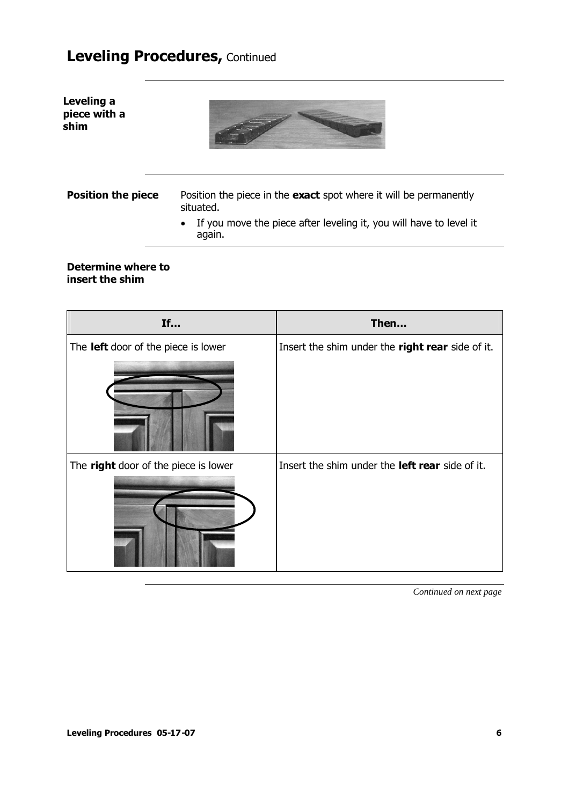

#### **Determine where to insert the shim**

| If                                   | Then                                             |
|--------------------------------------|--------------------------------------------------|
| The left door of the piece is lower  | Insert the shim under the right rear side of it. |
|                                      |                                                  |
| The right door of the piece is lower | Insert the shim under the left rear side of it.  |
|                                      |                                                  |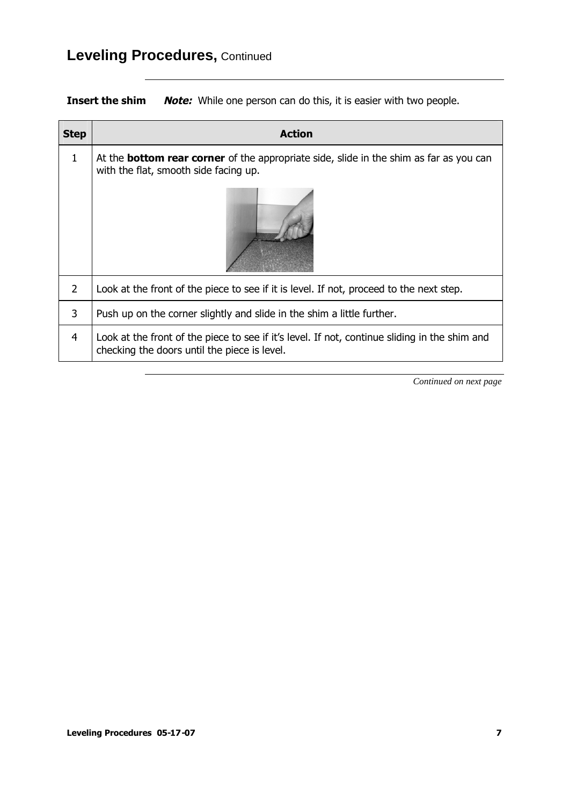**Insert the shim Note:** While one person can do this, it is easier with two people.

| <b>Step</b>    | Action                                                                                                                                        |
|----------------|-----------------------------------------------------------------------------------------------------------------------------------------------|
| $\mathbf{1}$   | At the <b>bottom rear corner</b> of the appropriate side, slide in the shim as far as you can<br>with the flat, smooth side facing up.        |
|                |                                                                                                                                               |
| $\overline{2}$ | Look at the front of the piece to see if it is level. If not, proceed to the next step.                                                       |
| 3              | Push up on the corner slightly and slide in the shim a little further.                                                                        |
| 4              | Look at the front of the piece to see if it's level. If not, continue sliding in the shim and<br>checking the doors until the piece is level. |